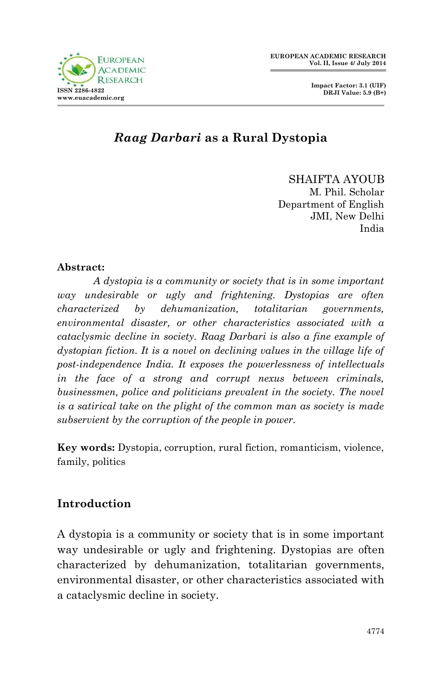



## *Raag Darbari* **as a Rural Dystopia**

SHAIFTA AYOUB M. Phil. Scholar Department of English JMI, New Delhi India

#### **Abstract:**

*A dystopia is a community or society that is in some important way undesirable or ugly and frightening. Dystopias are often characterized by dehumanization, totalitarian governments, environmental disaster, or other characteristics associated with a cataclysmic decline in society. Raag Darbari is also a fine example of dystopian fiction. It is a novel on declining values in the village life of post-independence India. It exposes the powerlessness of intellectuals in the face of a strong and corrupt nexus between criminals, businessmen, police and politicians prevalent in the society. The novel is a satirical take on the plight of the common man as society is made subservient by the corruption of the people in power.*

**Key words:** Dystopia, corruption, rural fiction, romanticism, violence, family, politics

## **Introduction**

A dystopia is a community or society that is in some important way undesirable or ugly and frightening. Dystopias are often characterized by dehumanization, totalitarian governments, environmental disaster, or other characteristics associated with a cataclysmic decline in society.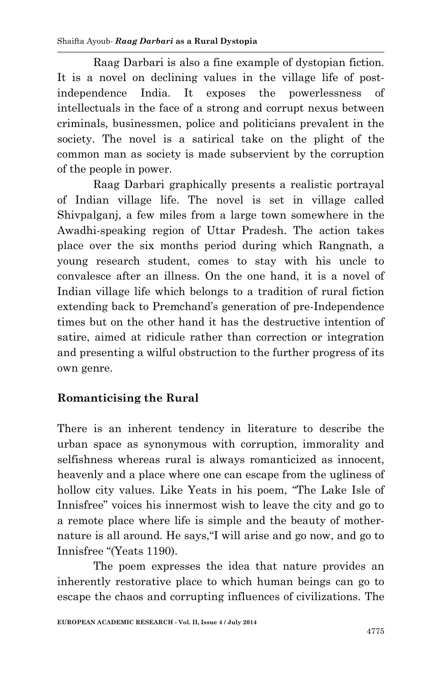Raag Darbari is also a fine example of dystopian fiction. It is a novel on declining values in the village life of postindependence India. It exposes the powerlessness of intellectuals in the face of a strong and corrupt nexus between criminals, businessmen, police and politicians prevalent in the society. The novel is a satirical take on the plight of the common man as society is made subservient by the corruption of the people in power.

Raag Darbari graphically presents a realistic portrayal of Indian village life. The novel is set in village called Shivpalganj, a few miles from a large town somewhere in the Awadhi-speaking region of Uttar Pradesh. The action takes place over the six months period during which Rangnath, a young research student, comes to stay with his uncle to convalesce after an illness. On the one hand, it is a novel of Indian village life which belongs to a tradition of rural fiction extending back to Premchand's generation of pre-Independence times but on the other hand it has the destructive intention of satire, aimed at ridicule rather than correction or integration and presenting a wilful obstruction to the further progress of its own genre.

# **Romanticising the Rural**

There is an inherent tendency in literature to describe the urban space as synonymous with corruption, immorality and selfishness whereas rural is always romanticized as innocent, heavenly and a place where one can escape from the ugliness of hollow city values. Like Yeats in his poem, "The Lake Isle of Innisfree" voices his innermost wish to leave the city and go to a remote place where life is simple and the beauty of mothernature is all around. He says,"I will arise and go now, and go to Innisfree "(Yeats 1190).

The poem expresses the idea that nature provides an inherently restorative place to which human beings can go to escape the chaos and corrupting influences of civilizations. The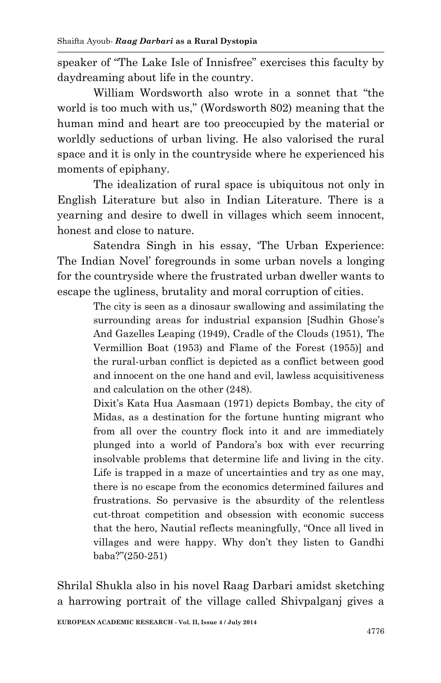speaker of "The Lake Isle of Innisfree" exercises this faculty by daydreaming about life in the country.

William Wordsworth also wrote in a sonnet that "the world is too much with us," (Wordsworth 802) meaning that the human mind and heart are too preoccupied by the material or worldly seductions of urban living. He also valorised the rural space and it is only in the countryside where he experienced his moments of epiphany.

The idealization of rural space is ubiquitous not only in English Literature but also in Indian Literature. There is a yearning and desire to dwell in villages which seem innocent, honest and close to nature.

Satendra Singh in his essay, 'The Urban Experience: The Indian Novel' foregrounds in some urban novels a longing for the countryside where the frustrated urban dweller wants to escape the ugliness, brutality and moral corruption of cities.

> The city is seen as a dinosaur swallowing and assimilating the surrounding areas for industrial expansion [Sudhin Ghose's And Gazelles Leaping (1949), Cradle of the Clouds (1951), The Vermillion Boat (1953) and Flame of the Forest (1955)] and the rural-urban conflict is depicted as a conflict between good and innocent on the one hand and evil, lawless acquisitiveness and calculation on the other (248).

> Dixit's Kata Hua Aasmaan (1971) depicts Bombay, the city of Midas, as a destination for the fortune hunting migrant who from all over the country flock into it and are immediately plunged into a world of Pandora's box with ever recurring insolvable problems that determine life and living in the city. Life is trapped in a maze of uncertainties and try as one may, there is no escape from the economics determined failures and frustrations. So pervasive is the absurdity of the relentless cut-throat competition and obsession with economic success that the hero, Nautial reflects meaningfully, "Once all lived in villages and were happy. Why don't they listen to Gandhi baba?"(250-251)

Shrilal Shukla also in his novel Raag Darbari amidst sketching a harrowing portrait of the village called Shivpalganj gives a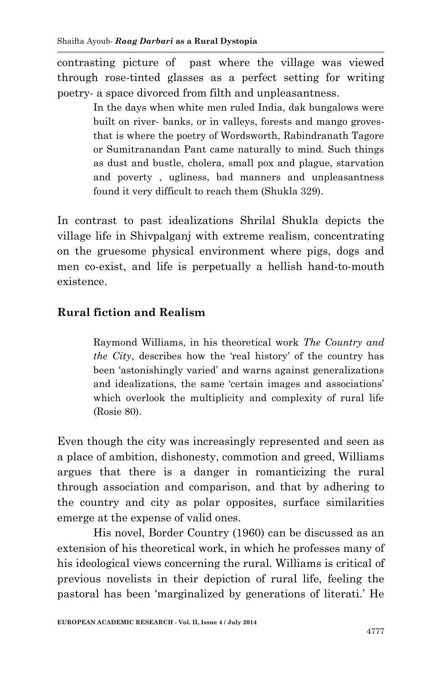contrasting picture of past where the village was viewed through rose-tinted glasses as a perfect setting for writing poetry- a space divorced from filth and unpleasantness.

> In the days when white men ruled India, dak bungalows were built on river- banks, or in valleys, forests and mango grovesthat is where the poetry of Wordsworth, Rabindranath Tagore or Sumitranandan Pant came naturally to mind. Such things as dust and bustle, cholera, small pox and plague, starvation and poverty , ugliness, bad manners and unpleasantness found it very difficult to reach them (Shukla 329).

In contrast to past idealizations Shrilal Shukla depicts the village life in Shivpalganj with extreme realism, concentrating on the gruesome physical environment where pigs, dogs and men co-exist, and life is perpetually a hellish hand-to-mouth existence.

#### **Rural fiction and Realism**

Raymond Williams, in his theoretical work *The Country and the City*, describes how the 'real history' of the country has been 'astonishingly varied' and warns against generalizations and idealizations, the same 'certain images and associations' which overlook the multiplicity and complexity of rural life (Rosie 80).

Even though the city was increasingly represented and seen as a place of ambition, dishonesty, commotion and greed, Williams argues that there is a danger in romanticizing the rural through association and comparison, and that by adhering to the country and city as polar opposites, surface similarities emerge at the expense of valid ones.

His novel, Border Country (1960) can be discussed as an extension of his theoretical work, in which he professes many of his ideological views concerning the rural. Williams is critical of previous novelists in their depiction of rural life, feeling the pastoral has been 'marginalized by generations of literati.' He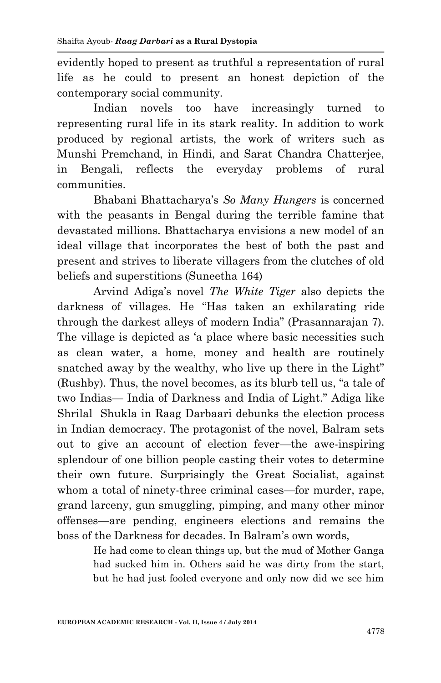evidently hoped to present as truthful a representation of rural life as he could to present an honest depiction of the contemporary social community.

Indian novels too have increasingly turned to representing rural life in its stark reality. In addition to work produced by regional artists, the work of writers such as Munshi Premchand, in Hindi, and Sarat Chandra Chatterjee, in Bengali, reflects the everyday problems of rural communities.

Bhabani Bhattacharya's *So Many Hungers* is concerned with the peasants in Bengal during the terrible famine that devastated millions. Bhattacharya envisions a new model of an ideal village that incorporates the best of both the past and present and strives to liberate villagers from the clutches of old beliefs and superstitions (Suneetha 164)

Arvind Adiga's novel *The White Tiger* also depicts the darkness of villages. He "Has taken an exhilarating ride through the darkest alleys of modern India" (Prasannarajan 7). The village is depicted as 'a place where basic necessities such as clean water, a home, money and health are routinely snatched away by the wealthy, who live up there in the Light" (Rushby). Thus, the novel becomes, as its blurb tell us, "a tale of two Indias— India of Darkness and India of Light." Adiga like Shrilal Shukla in Raag Darbaari debunks the election process in Indian democracy. The protagonist of the novel, Balram sets out to give an account of election fever—the awe-inspiring splendour of one billion people casting their votes to determine their own future. Surprisingly the Great Socialist, against whom a total of ninety-three criminal cases—for murder, rape, grand larceny, gun smuggling, pimping, and many other minor offenses—are pending, engineers elections and remains the boss of the Darkness for decades. In Balram's own words,

> He had come to clean things up, but the mud of Mother Ganga had sucked him in. Others said he was dirty from the start, but he had just fooled everyone and only now did we see him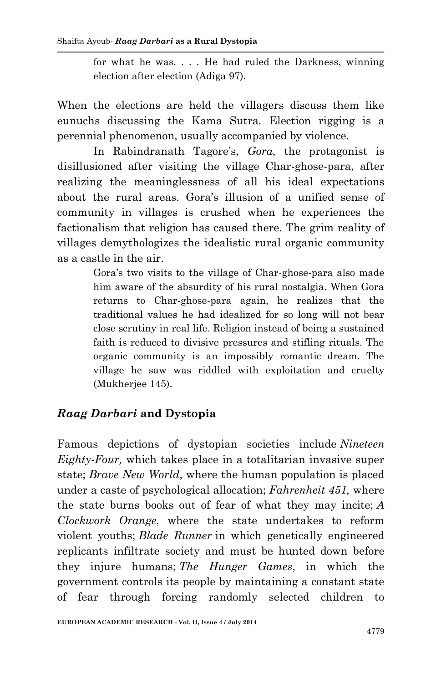for what he was. . . . He had ruled the Darkness, winning election after election (Adiga 97).

When the elections are held the villagers discuss them like eunuchs discussing the Kama Sutra*.* Election rigging is a perennial phenomenon, usually accompanied by violence.

In Rabindranath Tagore's, *Gora,* the protagonist is disillusioned after visiting the village Char-ghose-para, after realizing the meaninglessness of all his ideal expectations about the rural areas. Gora's illusion of a unified sense of community in villages is crushed when he experiences the factionalism that religion has caused there. The grim reality of villages demythologizes the idealistic rural organic community as a castle in the air.

> Gora's two visits to the village of Char-ghose-para also made him aware of the absurdity of his rural nostalgia. When Gora returns to Char-ghose-para again, he realizes that the traditional values he had idealized for so long will not bear close scrutiny in real life. Religion instead of being a sustained faith is reduced to divisive pressures and stifling rituals. The organic community is an impossibly romantic dream. The village he saw was riddled with exploitation and cruelty (Mukherjee 145).

# *Raag Darbari* **and Dystopia**

Famous depictions of dystopian societies include *Nineteen Eighty-Four,* which takes place in a totalitarian invasive super state; *Brave New World*, where the human population is placed under a caste of psychological allocation; *Fahrenheit 451,* where the state burns books out of fear of what they may incite; *A Clockwork Orange*, where the state undertakes to reform violent youths; *Blade Runner* in which genetically engineered replicants infiltrate society and must be hunted down before they injure humans; *The Hunger Games*, in which the government controls its people by maintaining a constant state of fear through forcing randomly selected children to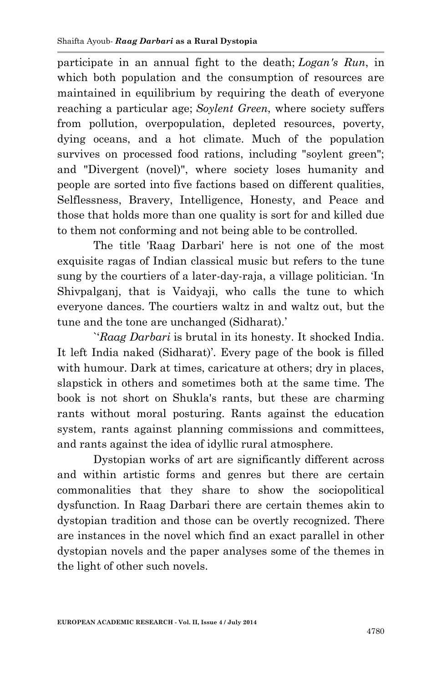participate in an annual fight to the death; *Logan's Run*, in which both population and the consumption of resources are maintained in equilibrium by requiring the death of everyone reaching a particular age; *Soylent Green*, where society suffers from pollution, overpopulation, depleted resources, poverty, dying oceans, and a hot climate. Much of the population survives on processed food rations, including "soylent green"; and "Divergent (novel)", where society loses humanity and people are sorted into five factions based on different qualities, Selflessness, Bravery, Intelligence, Honesty, and Peace and those that holds more than one quality is sort for and killed due to them not conforming and not being able to be controlled.

The title 'Raag Darbari' here is not one of the most exquisite ragas of Indian classical music but refers to the tune sung by the courtiers of a later-day-raja, a village politician. 'In Shivpalganj, that is Vaidyaji, who calls the tune to which everyone dances. The courtiers waltz in and waltz out, but the tune and the tone are unchanged (Sidharat).'

`'*Raag Darbari* is brutal in its honesty. It shocked India. It left India naked (Sidharat)'. Every page of the book is filled with humour. Dark at times, caricature at others; dry in places, slapstick in others and sometimes both at the same time. The book is not short on Shukla's rants, but these are charming rants without moral posturing. Rants against the education system, rants against planning commissions and committees, and rants against the idea of idyllic rural atmosphere.

Dystopian works of art are significantly different across and within artistic forms and genres but there are certain commonalities that they share to show the sociopolitical dysfunction. In Raag Darbari there are certain themes akin to dystopian tradition and those can be overtly recognized. There are instances in the novel which find an exact parallel in other dystopian novels and the paper analyses some of the themes in the light of other such novels.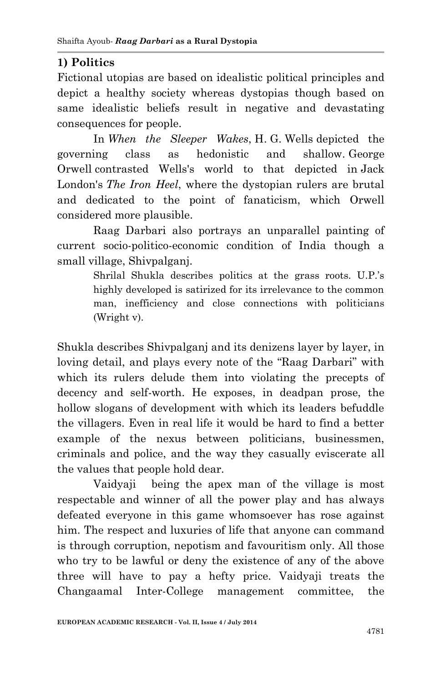# **1) Politics**

Fictional utopias are based on idealistic political principles and depict a healthy society whereas dystopias though based on same idealistic beliefs result in negative and devastating consequences for people.

In *When the Sleeper Wakes*, H. G. Wells depicted the governing class as hedonistic and shallow. George Orwell contrasted Wells's world to that depicted in Jack London's *The Iron Heel*, where the dystopian rulers are brutal and dedicated to the point of fanaticism, which Orwell considered more plausible.

Raag Darbari also portrays an unparallel painting of current socio-politico-economic condition of India though a small village, Shivpalganj.

> Shrilal Shukla describes politics at the grass roots. U.P.'s highly developed is satirized for its irrelevance to the common man, inefficiency and close connections with politicians (Wright v).

Shukla describes Shivpalganj and its denizens layer by layer, in loving detail, and plays every note of the "Raag Darbari" with which its rulers delude them into violating the precepts of decency and self-worth. He exposes, in deadpan prose, the hollow slogans of development with which its leaders befuddle the villagers. Even in real life it would be hard to find a better example of the nexus between politicians, businessmen, criminals and police, and the way they casually eviscerate all the values that people hold dear.

Vaidyajibeing the apex man of the village is most respectable and winner of all the power play and has always defeated everyone in this game whomsoever has rose against him. The respect and luxuries of life that anyone can command is through corruption, nepotism and favouritism only. All those who try to be lawful or deny the existence of any of the above three will have to pay a hefty price. Vaidyaji treats the Changaamal Inter-College management committee, the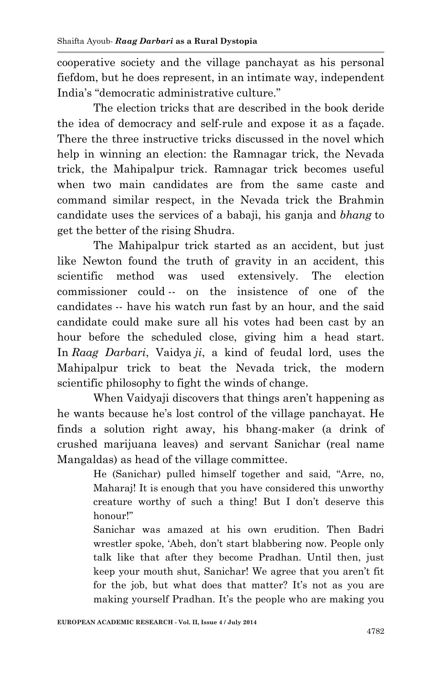cooperative society and the village panchayat as his personal fiefdom, but he does represent, in an intimate way, independent India's "democratic administrative culture."

The election tricks that are described in the book deride the idea of democracy and self-rule and expose it as a façade. There the three instructive tricks discussed in the novel which help in winning an election: the Ramnagar trick, the Nevada trick, the Mahipalpur trick. Ramnagar trick becomes useful when two main candidates are from the same caste and command similar respect, in the Nevada trick the Brahmin candidate uses the services of a babaji, his ganja and *bhang* to get the better of the rising Shudra.

The Mahipalpur trick started as an accident, but just like Newton found the truth of gravity in an accident, this scientific method was used extensively. The election commissioner could -- on the insistence of one of the candidates -- have his watch run fast by an hour, and the said candidate could make sure all his votes had been cast by an hour before the scheduled close, giving him a head start. In *Raag Darbari*, Vaidya *ji*, a kind of feudal lord, uses the Mahipalpur trick to beat the Nevada trick, the modern scientific philosophy to fight the winds of change.

When Vaidyaji discovers that things aren't happening as he wants because he's lost control of the village panchayat. He finds a solution right away, his bhang-maker (a drink of crushed marijuana leaves) and servant Sanichar (real name Mangaldas) as head of the village committee.

> He (Sanichar) pulled himself together and said, "Arre, no, Maharaj! It is enough that you have considered this unworthy creature worthy of such a thing! But I don't deserve this honour!"

> Sanichar was amazed at his own erudition. Then Badri wrestler spoke, 'Abeh, don't start blabbering now. People only talk like that after they become Pradhan. Until then, just keep your mouth shut, Sanichar! We agree that you aren't fit for the job, but what does that matter? It's not as you are making yourself Pradhan. It's the people who are making you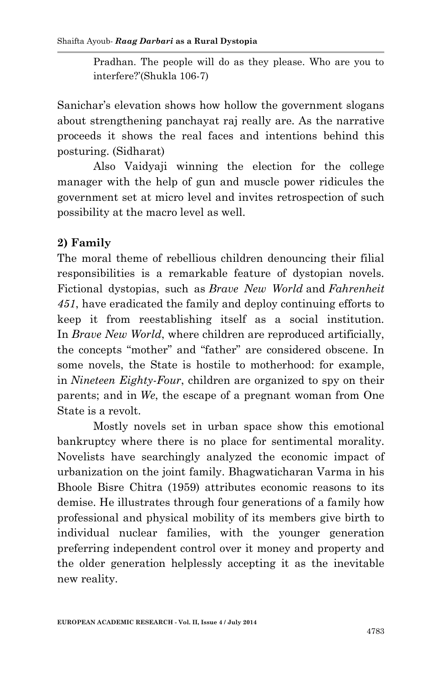Pradhan. The people will do as they please. Who are you to interfere?'(Shukla 106-7)

Sanichar's elevation shows how hollow the government slogans about strengthening panchayat raj really are. As the narrative proceeds it shows the real faces and intentions behind this posturing. (Sidharat)

Also Vaidyaji winning the election for the college manager with the help of gun and muscle power ridicules the government set at micro level and invites retrospection of such possibility at the macro level as well.

## **2) Family**

The moral theme of rebellious children denouncing their filial responsibilities is a remarkable feature of dystopian novels. Fictional dystopias, such as *Brave New World* and *Fahrenheit 451*, have eradicated the family and deploy continuing efforts to keep it from reestablishing itself as a social institution. In *Brave New World*, where children are reproduced artificially, the concepts "mother" and "father" are considered obscene. In some novels, the State is hostile to motherhood: for example, in *Nineteen Eighty-Four*, children are organized to spy on their parents; and in *We*, the escape of a pregnant woman from One State is a revolt.

Mostly novels set in urban space show this emotional bankruptcy where there is no place for sentimental morality. Novelists have searchingly analyzed the economic impact of urbanization on the joint family. Bhagwaticharan Varma in his Bhoole Bisre Chitra (1959) attributes economic reasons to its demise. He illustrates through four generations of a family how professional and physical mobility of its members give birth to individual nuclear families, with the younger generation preferring independent control over it money and property and the older generation helplessly accepting it as the inevitable new reality.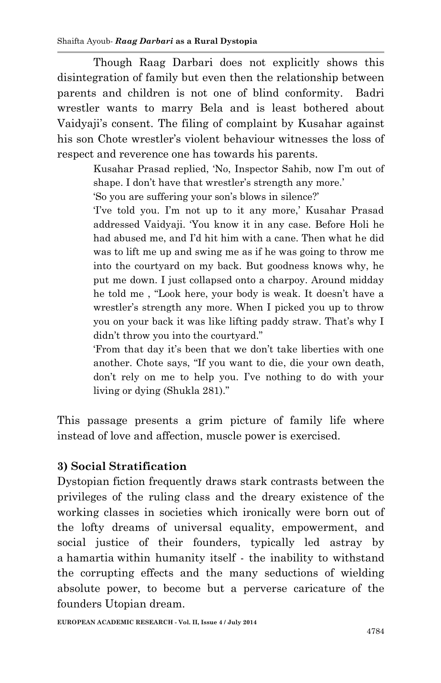Though Raag Darbari does not explicitly shows this disintegration of family but even then the relationship between parents and children is not one of blind conformity. Badri wrestler wants to marry Bela and is least bothered about Vaidyaji's consent. The filing of complaint by Kusahar against his son Chote wrestler's violent behaviour witnesses the loss of respect and reverence one has towards his parents.

> Kusahar Prasad replied, 'No, Inspector Sahib, now I'm out of shape. I don't have that wrestler's strength any more.'

'So you are suffering your son's blows in silence?'

'I've told you. I'm not up to it any more,' Kusahar Prasad addressed Vaidyaji. 'You know it in any case. Before Holi he had abused me, and I'd hit him with a cane. Then what he did was to lift me up and swing me as if he was going to throw me into the courtyard on my back. But goodness knows why, he put me down. I just collapsed onto a charpoy. Around midday he told me , "Look here, your body is weak. It doesn't have a wrestler's strength any more. When I picked you up to throw you on your back it was like lifting paddy straw. That's why I didn't throw you into the courtyard."

'From that day it's been that we don't take liberties with one another. Chote says, "If you want to die, die your own death, don't rely on me to help you. I've nothing to do with your living or dying (Shukla 281)."

This passage presents a grim picture of family life where instead of love and affection, muscle power is exercised.

## **3) Social Stratification**

Dystopian fiction frequently draws stark contrasts between the privileges of the ruling class and the dreary existence of the working classes in societies which ironically were born out of the lofty dreams of universal equality, empowerment, and social justice of their founders, typically led astray by a hamartia within humanity itself - the inability to withstand the corrupting effects and the many seductions of wielding absolute power, to become but a perverse caricature of the founders Utopian dream.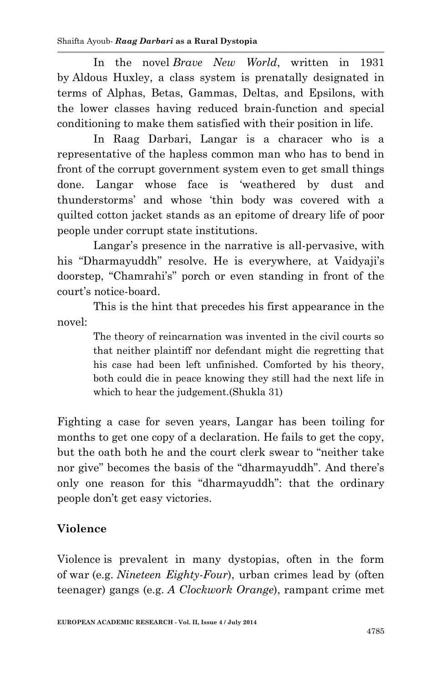In the novel *Brave New World*, written in 1931 by Aldous Huxley, a class system is prenatally designated in terms of Alphas, Betas, Gammas, Deltas, and Epsilons, with the lower classes having reduced brain-function and special conditioning to make them satisfied with their position in life.

In Raag Darbari, Langar is a characer who is a representative of the hapless common man who has to bend in front of the corrupt government system even to get small things done. Langar whose face is 'weathered by dust and thunderstorms' and whose 'thin body was covered with a quilted cotton jacket stands as an epitome of dreary life of poor people under corrupt state institutions.

Langar's presence in the narrative is all-pervasive, with his "Dharmayuddh" resolve. He is everywhere, at Vaidyaji's doorstep, "Chamrahi's" porch or even standing in front of the court's notice-board.

This is the hint that precedes his first appearance in the novel:

> The theory of reincarnation was invented in the civil courts so that neither plaintiff nor defendant might die regretting that his case had been left unfinished. Comforted by his theory, both could die in peace knowing they still had the next life in which to hear the judgement.(Shukla 31)

Fighting a case for seven years, Langar has been toiling for months to get one copy of a declaration. He fails to get the copy, but the oath both he and the court clerk swear to "neither take nor give" becomes the basis of the "dharmayuddh". And there's only one reason for this "dharmayuddh": that the ordinary people don't get easy victories.

# **Violence**

[Violence](http://en.wikipedia.org/wiki/Violence) is prevalent in many dystopias, often in the form of [war](http://en.wikipedia.org/wiki/War) (e.g. *[Nineteen Eighty-Four](http://en.wikipedia.org/wiki/Nineteen_Eighty-Four)*), urban crimes lead by (often teenager) gangs (e.g. *[A Clockwork Orange](http://en.wikipedia.org/wiki/A_Clockwork_Orange)*), rampant crime met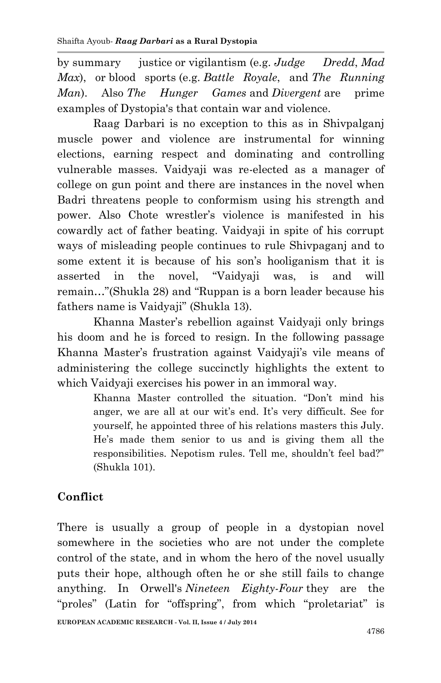by [summary justice](http://en.wikipedia.org/wiki/Summary_justice) or [vigilantism](http://en.wikipedia.org/wiki/Vigilante) (e.g. *[Judge Dredd](http://en.wikipedia.org/wiki/Judge_Dredd)*, *[Mad](http://en.wikipedia.org/wiki/Mad_Max)  [Max](http://en.wikipedia.org/wiki/Mad_Max)*), or [blood sports](http://en.wikipedia.org/wiki/Blood_sport) (e.g. *[Battle Royale](http://en.wikipedia.org/wiki/Battle_Royale)*, and *[The Running](http://en.wikipedia.org/wiki/The_Running_Man_(1987_film))  [Man](http://en.wikipedia.org/wiki/The_Running_Man_(1987_film))*). Also *The Hunger Games* and *Divergent* are prime examples of Dystopia's that contain war and violence.

Raag Darbari is no exception to this as in Shivpalganj muscle power and violence are instrumental for winning elections, earning respect and dominating and controlling vulnerable masses. Vaidyaji was re-elected as a manager of college on gun point and there are instances in the novel when Badri threatens people to conformism using his strength and power. Also Chote wrestler's violence is manifested in his cowardly act of father beating. Vaidyaji in spite of his corrupt ways of misleading people continues to rule Shivpaganj and to some extent it is because of his son's hooliganism that it is asserted in the novel, "Vaidyaji was, is and will remain…"(Shukla 28) and "Ruppan is a born leader because his fathers name is Vaidyaji" (Shukla 13).

Khanna Master's rebellion against Vaidyaji only brings his doom and he is forced to resign. In the following passage Khanna Master's frustration against Vaidyaji's vile means of administering the college succinctly highlights the extent to which Vaidyaji exercises his power in an immoral way.

> Khanna Master controlled the situation. "Don't mind his anger, we are all at our wit's end. It's very difficult. See for yourself, he appointed three of his relations masters this July. He's made them senior to us and is giving them all the responsibilities. Nepotism rules. Tell me, shouldn't feel bad?" (Shukla 101).

# **Conflict**

There is usually a group of people in a dystopian novel somewhere in the societies who are not under the complete control of the state, and in whom the hero of the novel usually puts their hope, although often he or she still fails to change anything. In Orwell's *[Nineteen Eighty-Four](http://en.wikipedia.org/wiki/Nineteen_Eighty-Four)* they are the "proles" (Latin for "offspring", from which "[proletariat](http://en.wikipedia.org/wiki/Proletariat)" is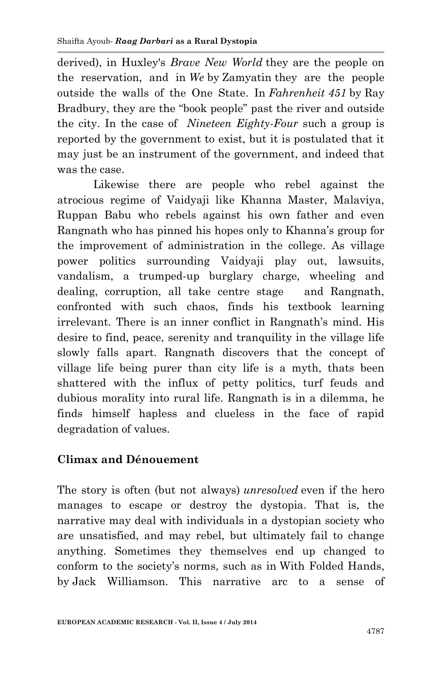derived), in Huxley's *[Brave New World](http://en.wikipedia.org/wiki/Brave_New_World)* they are the people on the reservation, and in *[We](http://en.wikipedia.org/wiki/We_(novel))* by [Zamyatin](http://en.wikipedia.org/wiki/Yevgeny_Zamyatin) they are the people outside the walls of the One State. In *[Fahrenheit](http://en.wikipedia.org/wiki/Fahrenheit_451) 451* by [Ray](http://en.wikipedia.org/wiki/Ray_Bradbury)  [Bradbury](http://en.wikipedia.org/wiki/Ray_Bradbury), they are the "book people" past the river and outside the city. In the case of *[Nineteen Eighty-Four](http://en.wikipedia.org/wiki/Nineteen_Eighty-Four)* such a group is reported by the government to exist, but it is postulated that it may just be an instrument of the government, and indeed that was the case.

Likewise there are people who rebel against the atrocious regime of Vaidyaji like Khanna Master, Malaviya, Ruppan Babu who rebels against his own father and even Rangnath who has pinned his hopes only to Khanna's group for the improvement of administration in the college. As village power politics surrounding Vaidyaji play out, lawsuits, vandalism, a trumped-up burglary charge, wheeling and dealing, corruption, all take centre stage and Rangnath, confronted with such chaos, finds his textbook learning irrelevant. There is an inner conflict in Rangnath's mind. His desire to find, peace, serenity and tranquility in the village life slowly falls apart. Rangnath discovers that the concept of village life being purer than city life is a myth, thats been shattered with the influx of petty politics, turf feuds and dubious morality into rural life. Rangnath is in a dilemma, he finds himself hapless and clueless in the face of rapid degradation of values.

#### **Climax and Dénouement**

The story is often (but not always) *unresolved* even if the hero manages to escape or destroy the dystopia. That is, the narrative may deal with individuals in a dystopian society who are unsatisfied, and may rebel, but ultimately fail to change anything. Sometimes they themselves end up changed to conform to the society's norms, such as in [With Folded Hands,](http://en.wikipedia.org/wiki/With_Folded_Hands) by [Jack Williamson.](http://en.wikipedia.org/wiki/Jack_Williamson) This narrative arc to a sense of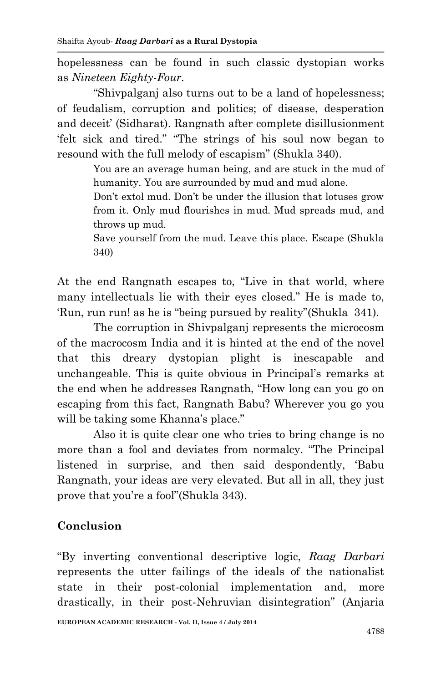hopelessness can be found in such classic dystopian works as *[Nineteen Eighty-Four.](http://en.wikipedia.org/wiki/Nineteen_Eighty-Four)*

"Shivpalganj also turns out to be a land of hopelessness; of feudalism, corruption and politics; of disease, desperation and deceit' (Sidharat). Rangnath after complete disillusionment 'felt sick and tired." "The strings of his soul now began to resound with the full melody of escapism" (Shukla 340).

> You are an average human being, and are stuck in the mud of humanity. You are surrounded by mud and mud alone.

> Don't extol mud. Don't be under the illusion that lotuses grow from it. Only mud flourishes in mud. Mud spreads mud, and throws up mud.

> Save yourself from the mud. Leave this place. Escape (Shukla 340)

At the end Rangnath escapes to, "Live in that world, where many intellectuals lie with their eyes closed." He is made to, 'Run, run run! as he is "being pursued by reality"(Shukla 341).

The corruption in Shivpalganj represents the microcosm of the macrocosm India and it is hinted at the end of the novel that this dreary dystopian plight is inescapable and unchangeable. This is quite obvious in Principal's remarks at the end when he addresses Rangnath, "How long can you go on escaping from this fact, Rangnath Babu? Wherever you go you will be taking some Khanna's place."

Also it is quite clear one who tries to bring change is no more than a fool and deviates from normalcy. "The Principal listened in surprise, and then said despondently, 'Babu Rangnath, your ideas are very elevated. But all in all, they just prove that you're a fool"(Shukla 343).

# **Conclusion**

"By inverting conventional descriptive logic, *Raag Darbari*  represents the utter failings of the ideals of the nationalist state in their post-colonial implementation and, more drastically, in their post-Nehruvian disintegration" (Anjaria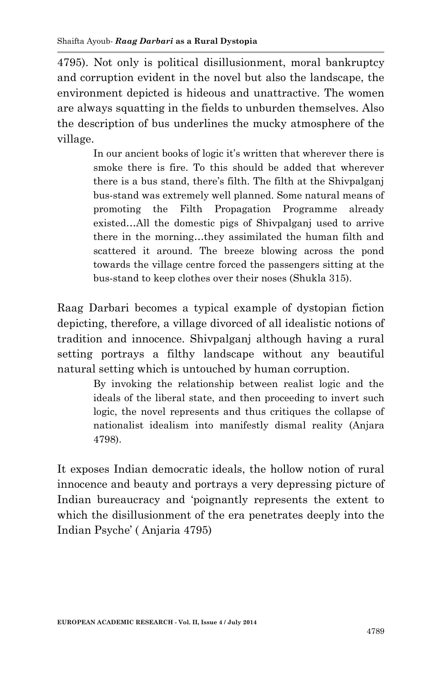4795). Not only is political disillusionment, moral bankruptcy and corruption evident in the novel but also the landscape, the environment depicted is hideous and unattractive. The women are always squatting in the fields to unburden themselves. Also the description of bus underlines the mucky atmosphere of the village.

> In our ancient books of logic it's written that wherever there is smoke there is fire. To this should be added that wherever there is a bus stand, there's filth. The filth at the Shivpalganj bus-stand was extremely well planned. Some natural means of promoting the Filth Propagation Programme already existed…All the domestic pigs of Shivpalganj used to arrive there in the morning…they assimilated the human filth and scattered it around. The breeze blowing across the pond towards the village centre forced the passengers sitting at the bus-stand to keep clothes over their noses (Shukla 315).

Raag Darbari becomes a typical example of dystopian fiction depicting, therefore, a village divorced of all idealistic notions of tradition and innocence. Shivpalganj although having a rural setting portrays a filthy landscape without any beautiful natural setting which is untouched by human corruption.

> By invoking the relationship between realist logic and the ideals of the liberal state, and then proceeding to invert such logic, the novel represents and thus critiques the collapse of nationalist idealism into manifestly dismal reality (Anjara 4798).

It exposes Indian democratic ideals, the hollow notion of rural innocence and beauty and portrays a very depressing picture of Indian bureaucracy and 'poignantly represents the extent to which the disillusionment of the era penetrates deeply into the Indian Psyche' ( Anjaria 4795)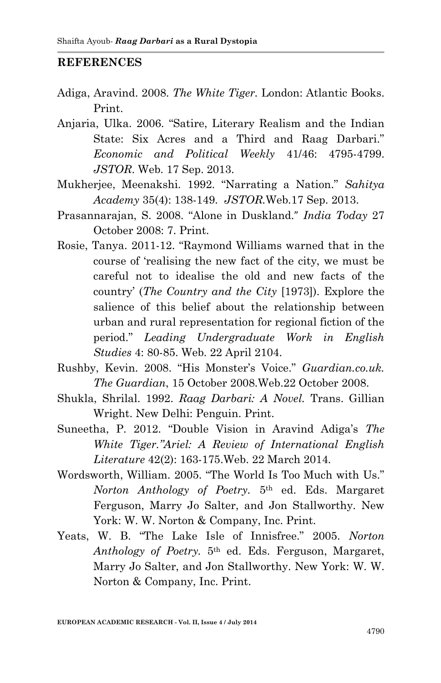#### **REFERENCES**

- Adiga, Aravind. 2008. *The White Tiger.* London: Atlantic Books. Print.
- Anjaria, Ulka. 2006. "Satire, Literary Realism and the Indian State: Six Acres and a Third and Raag Darbari." *Economic and Political Weekly* 41/46: 4795-4799. *JSTOR*. Web. 17 Sep. 2013.
- Mukherjee, Meenakshi. 1992. "Narrating a Nation." *Sahitya Academy* 35(4): 138-149. *JSTOR.*Web.17 Sep. 2013.
- Prasannarajan, S. 2008. "Alone in Duskland." *India Today* 27 October 2008: 7. Print.
- Rosie, Tanya. 2011-12. "Raymond Williams warned that in the course of 'realising the new fact of the city, we must be careful not to idealise the old and new facts of the country' (*The Country and the City* [1973]). Explore the salience of this belief about the relationship between urban and rural representation for regional fiction of the period." *Leading Undergraduate Work in English Studies* 4: 80-85. Web. 22 April 2104.
- Rushby, Kevin. 2008. "His Monster's Voice." *Guardian.co.uk. The Guardian*, 15 October 2008.Web.22 October 2008.
- Shukla, Shrilal. 1992. *Raag Darbari: A Novel.* Trans. Gillian Wright. New Delhi: Penguin. Print.
- Suneetha, P. 2012. "Double Vision in Aravind Adiga's *The White Tiger."Ariel: A Review of International English Literature* 42(2): 163-175.Web. 22 March 2014.
- Wordsworth, William. 2005. "The World Is Too Much with Us." *Norton Anthology of Poetry.* 5th ed. Eds. Margaret Ferguson, Marry Jo Salter, and Jon Stallworthy. New York: W. W. Norton & Company, Inc. Print.
- Yeats, W. B. "The Lake Isle of Innisfree." 2005. *Norton Anthology of Poetry.* 5th ed. Eds. Ferguson, Margaret, Marry Jo Salter, and Jon Stallworthy. New York: W. W. Norton & Company, Inc. Print.